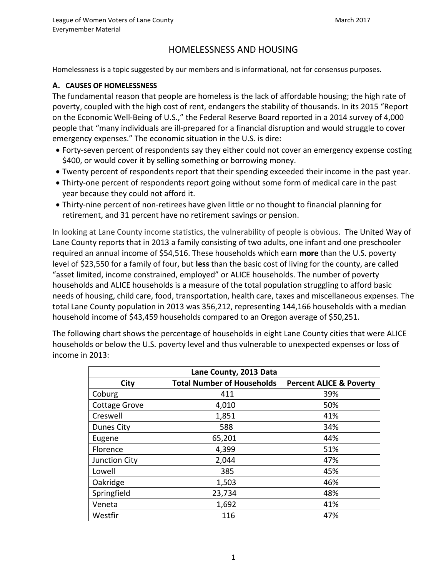# HOMELESSNESS AND HOUSING

Homelessness is a topic suggested by our members and is informational, not for consensus purposes.

### **A. CAUSES OF HOMELESSNESS**

The fundamental reason that people are homeless is the lack of affordable housing; the high rate of poverty, coupled with the high cost of rent, endangers the stability of thousands. In its 2015 "Report on the Economic Well-Being of U.S.," the Federal Reserve Board reported in a 2014 survey of 4,000 people that "many individuals are ill-prepared for a financial disruption and would struggle to cover emergency expenses." The economic situation in the U.S. is dire:

- Forty-seven percent of respondents say they either could not cover an emergency expense costing \$400, or would cover it by selling something or borrowing money.
- Twenty percent of respondents report that their spending exceeded their income in the past year.
- Thirty-one percent of respondents report going without some form of medical care in the past year because they could not afford it.
- Thirty-nine percent of non-retirees have given little or no thought to financial planning for retirement, and 31 percent have no retirement savings or pension.

In looking at Lane County income statistics, the vulnerability of people is obvious. The United Way of Lane County reports that in 2013 a family consisting of two adults, one infant and one preschooler required an annual income of \$54,516. These households which earn **more** than the U.S. poverty level of \$23,550 for a family of four, but **less** than the basic cost of living for the county, are called "asset limited, income constrained, employed" or ALICE households. The number of poverty households and ALICE households is a measure of the total population struggling to afford basic needs of housing, child care, food, transportation, health care, taxes and miscellaneous expenses. The total Lane County population in 2013 was 356,212, representing 144,166 households with a median household income of \$43,459 households compared to an Oregon average of \$50,251.

The following chart shows the percentage of households in eight Lane County cities that were ALICE households or below the U.S. poverty level and thus vulnerable to unexpected expenses or loss of income in 2013:

| Lane County, 2013 Data |                                   |                                    |
|------------------------|-----------------------------------|------------------------------------|
| <b>City</b>            | <b>Total Number of Households</b> | <b>Percent ALICE &amp; Poverty</b> |
| Coburg                 | 411                               | 39%                                |
| <b>Cottage Grove</b>   | 4,010                             | 50%                                |
| Creswell               | 1,851                             | 41%                                |
| Dunes City             | 588                               | 34%                                |
| Eugene                 | 65,201                            | 44%                                |
| Florence               | 4,399                             | 51%                                |
| Junction City          | 2,044                             | 47%                                |
| Lowell                 | 385                               | 45%                                |
| Oakridge               | 1,503                             | 46%                                |
| Springfield            | 23,734                            | 48%                                |
| Veneta                 | 1,692                             | 41%                                |
| Westfir                | 116                               | 47%                                |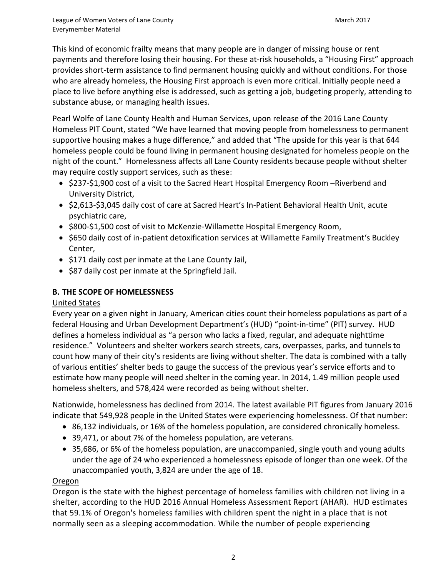This kind of economic frailty means that many people are in danger of missing house or rent payments and therefore losing their housing. For these at-risk households, a "Housing First" approach provides short-term assistance to find permanent housing quickly and without conditions. For those who are already homeless, the Housing First approach is even more critical. Initially people need a place to live before anything else is addressed, such as getting a job, budgeting properly, attending to substance abuse, or managing health issues.

Pearl Wolfe of Lane County Health and Human Services, upon release of the 2016 Lane County Homeless PIT Count, stated "We have learned that moving people from homelessness to permanent supportive housing makes a huge difference," and added that "The upside for this year is that 644 homeless people could be found living in permanent housing designated for homeless people on the night of the count." Homelessness affects all Lane County residents because people without shelter may require costly support services, such as these:

- \$237-\$1,900 cost of a visit to the Sacred Heart Hospital Emergency Room –Riverbend and University District,
- \$2,613-\$3,045 daily cost of care at Sacred Heart's In-Patient Behavioral Health Unit, acute psychiatric care,
- \$800-\$1,500 cost of visit to McKenzie-Willamette Hospital Emergency Room,
- \$650 daily cost of in-patient detoxification services at Willamette Family Treatment's Buckley Center,
- \$171 daily cost per inmate at the Lane County Jail,
- \$87 daily cost per inmate at the Springfield Jail.

# **B. THE SCOPE OF HOMELESSNESS**

### United States

Every year on a given night in January, American cities count their homeless populations as part of a federal Housing and Urban Development Department's (HUD) "point-in-time" (PIT) survey. HUD defines a homeless individual as "a person who lacks a fixed, regular, and adequate nighttime residence." Volunteers and shelter workers search streets, cars, overpasses, parks, and tunnels to count how many of their city's residents are living without shelter. The data is combined with a tally of various entities' shelter beds to gauge the success of the previous year's service efforts and to estimate how many people will need shelter in the coming year. In 2014, 1.49 million people used homeless shelters, and 578,424 were recorded as being without shelter.

Nationwide, homelessness has declined from 2014. The latest available PIT figures from January 2016 indicate that 549,928 people in the United States were experiencing homelessness. Of that number:

- 86,132 individuals, or 16% of the homeless population, are considered chronically homeless.
- 39,471, or about 7% of the homeless population, are veterans.
- 35,686, or 6% of the homeless population, are unaccompanied, single youth and young adults under the age of 24 who experienced a homelessness episode of longer than one week. Of the unaccompanied youth, 3,824 are under the age of 18.

### Oregon

Oregon is the state with the highest percentage of homeless families with children not living in a shelter, according to the HUD 2016 Annual Homeless Assessment Report (AHAR). HUD estimates that 59.1% of Oregon's homeless families with children spent the night in a place that is not normally seen as a sleeping accommodation. While the number of people experiencing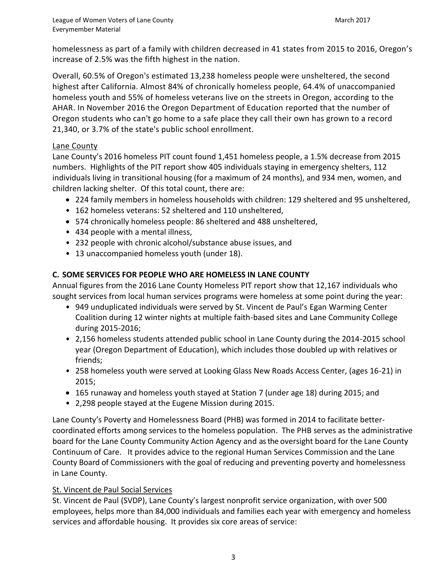homelessness as part of a family with children decreased in 41 states from 2015 to 2016, Oregon's increase of 2.5% was the fifth highest in the nation.

Overall, 60.5% of Oregon's estimated 13,238 homeless people were unsheltered, the second highest after California. Almost 84% of chronically homeless people, 64.4% of unaccompanied homeless youth and 55% of homeless veterans live on the streets in Oregon, according to the AHAR. In November 2016 [the Oregon Department of Education](http://www.oregonlive.com/education/index.ssf/2016/11/record_21300_oregon_students_a.html) reported that the number of Oregon students who can't go home to a safe place they call their own has grown to a record 21,340, or 3.7% of the state's public school enrollment.

### Lane County

Lane County's 2016 homeless PIT count found 1,451 homeless people, a 1.5% decrease from 2015 numbers. Highlights of the PIT report show 405 individuals staying in emergency shelters, 112 individuals living in transitional housing (for a maximum of 24 months), and 934 men, women, and children lacking shelter. Of this total count, there are:

- 224 family members in homeless households with children: 129 sheltered and 95 unsheltered,
- 162 homeless veterans: 52 sheltered and 110 unsheltered,
- 574 chronically homeless people: 86 sheltered and 488 unsheltered,
- 434 people with a mental illness,
- 232 people with chronic alcohol/substance abuse issues, and
- 13 unaccompanied homeless youth (under 18).

## **C. SOME SERVICES FOR PEOPLE WHO ARE HOMELESS IN LANE COUNTY**

Annual figures from the 2016 Lane County Homeless PIT report show that 12,167 individuals who sought services from local human services programs were homeless at some point during the year:

- 949 unduplicated individuals were served by St. Vincent de Paul's Egan Warming Center Coalition during 12 winter nights at multiple faith-based sites and Lane Community College during 2015-2016;
- 2,156 homeless students attended public school in Lane County during the 2014-2015 school year (Oregon Department of Education), which includes those doubled up with relatives or friends;
- 258 homeless youth were served at Looking Glass New Roads Access Center, (ages 16-21) in 2015;
- 165 runaway and homeless youth stayed at Station 7 (under age 18) during 2015; and
- 2,298 people stayed at the Eugene Mission during 2015.

Lane County's Poverty and Homelessness Board (PHB) was formed in 2014 to facilitate bettercoordinated efforts among services to the homeless population. The PHB serves as the administrative board for the Lane County Community Action Agency and as the oversight board for the Lane County Continuum of Care. It provides advice to the regional Human Services Commission and the Lane County Board of Commissioners with the goal of reducing and preventing poverty and homelessness in Lane County.

### St. Vincent de Paul Social Services

St. Vincent de Paul (SVDP), Lane County's largest nonprofit service organization, with over 500 employees, helps more than 84,000 individuals and families each year with emergency and homeless services and affordable housing. It provides six core areas of service: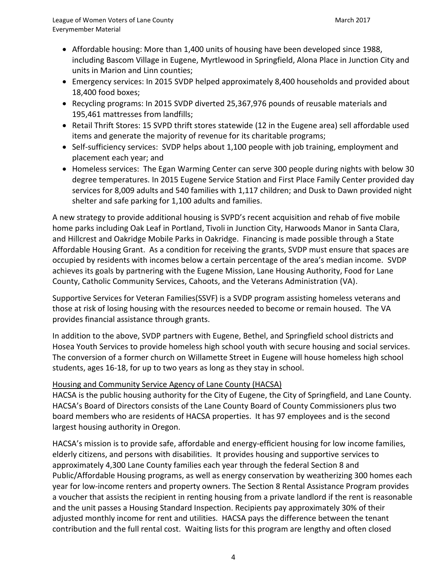- Affordable housing: More than 1,400 units of housing have been developed since 1988, including Bascom Village in Eugene, Myrtlewood in Springfield, Alona Place in Junction City and units in Marion and Linn counties;
- Emergency services: In 2015 SVDP helped approximately 8,400 households and provided about 18,400 food boxes;
- Recycling programs: In 2015 SVDP diverted 25,367,976 pounds of reusable materials and 195,461 mattresses from landfills;
- Retail Thrift Stores: 15 SVPD thrift stores statewide (12 in the Eugene area) sell affordable used items and generate the majority of revenue for its charitable programs;
- Self-sufficiency services: SVDP helps about 1,100 people with job training, employment and placement each year; and
- Homeless services: The Egan Warming Center can serve 300 people during nights with below 30 degree temperatures. In 2015 Eugene Service Station and First Place Family Center provided day services for 8,009 adults and 540 families with 1,117 children; and Dusk to Dawn provided night shelter and safe parking for 1,100 adults and families.

A new strategy to provide additional housing is SVPD's recent acquisition and rehab of five mobile home parks including Oak Leaf in Portland, Tivoli in Junction City, Harwoods Manor in Santa Clara, and Hillcrest and Oakridge Mobile Parks in Oakridge. Financing is made possible through a State Affordable Housing Grant. As a condition for receiving the grants, SVDP must ensure that spaces are occupied by residents with incomes below a certain percentage of the area's median income. SVDP achieves its goals by partnering with the Eugene Mission, Lane Housing Authority, Food for Lane County, Catholic Community Services, Cahoots, and the Veterans Administration (VA).

Supportive Services for Veteran Families(SSVF) is a SVDP program assisting homeless veterans and those at risk of losing housing with the resources needed to become or remain housed. The VA provides financial assistance through grants.

In addition to the above, SVDP partners with Eugene, Bethel, and Springfield school districts and Hosea Youth Services to provide homeless high school youth with secure housing and social services. The conversion of a former church on Willamette Street in Eugene will house homeless high school students, ages 16-18, for up to two years as long as they stay in school.

### Housing and Community Service Agency of Lane County (HACSA)

HACSA is the public housing authority for the City of Eugene, the City of Springfield, and Lane County. HACSA's Board of Directors consists of the Lane County Board of County Commissioners plus two board members who are residents of HACSA properties. It has 97 employees and is the second largest housing authority in Oregon.

HACSA's mission is to provide safe, affordable and energy-efficient housing for low income families, elderly citizens, and persons with disabilities. It provides housing and supportive services to approximately 4,300 Lane County families each year through the federal Section 8 and Public/Affordable Housing programs, as well as energy conservation by weatherizing 300 homes each year for low-income renters and property owners. The Section 8 Rental Assistance Program provides a voucher that assists the recipient in renting housing from a private landlord if the rent is reasonable and the unit passes a Housing Standard Inspection. Recipients pay approximately 30% of their adjusted monthly income for rent and utilities. HACSA pays the difference between the tenant contribution and the full rental cost. Waiting lists for this program are lengthy and often closed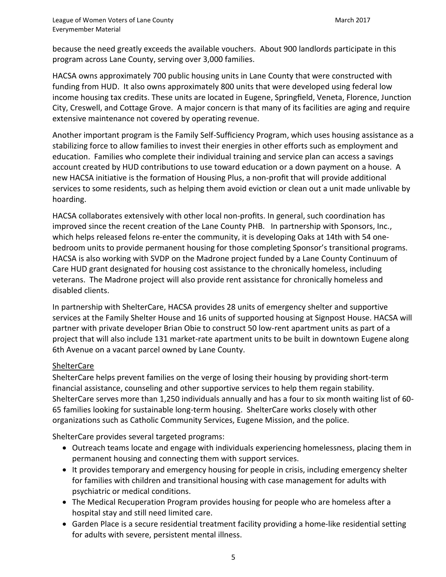because the need greatly exceeds the available vouchers. About 900 landlords participate in this program across Lane County, serving over 3,000 families.

HACSA owns approximately 700 public housing units in Lane County that were constructed with funding from HUD. It also owns approximately 800 units that were developed using federal low income housing tax credits. These units are located in Eugene, Springfield, Veneta, Florence, Junction City, Creswell, and Cottage Grove. A major concern is that many of its facilities are aging and require extensive maintenance not covered by operating revenue.

Another important program is the Family Self-Sufficiency Program, which uses housing assistance as a stabilizing force to allow families to invest their energies in other efforts such as employment and education. Families who complete their individual training and service plan can access a savings account created by HUD contributions to use toward education or a down payment on a house. A new HACSA initiative is the formation of Housing Plus, a non-profit that will provide additional services to some residents, such as helping them avoid eviction or clean out a unit made unlivable by hoarding.

HACSA collaborates extensively with other local non-profits. In general, such coordination has improved since the recent creation of the Lane County PHB. In partnership with Sponsors, Inc., which helps released felons re-enter the community, it is developing Oaks at 14th with 54 onebedroom units to provide permanent housing for those completing Sponsor's transitional programs. HACSA is also working with SVDP on the Madrone project funded by a Lane County Continuum of Care HUD grant designated for housing cost assistance to the chronically homeless, including veterans. The Madrone project will also provide rent assistance for chronically homeless and disabled clients.

In partnership with ShelterCare, HACSA provides 28 units of emergency shelter and supportive services at the Family Shelter House and 16 units of supported housing at Signpost House. HACSA will partner with private developer Brian Obie to construct 50 low-rent apartment units as part of a project that will also include 131 market-rate apartment units to be built in downtown Eugene along 6th Avenue on a vacant parcel owned by Lane County.

### **ShelterCare**

ShelterCare helps prevent families on the verge of losing their housing by providing short-term financial assistance, counseling and other supportive services to help them regain stability. ShelterCare serves more than 1,250 individuals annually and has a four to six month waiting list of 60- 65 families looking for sustainable long-term housing. ShelterCare works closely with other organizations such as Catholic Community Services, Eugene Mission, and the police.

ShelterCare provides several targeted programs:

- Outreach teams locate and engage with individuals experiencing homelessness, placing them in permanent housing and connecting them with support services.
- It provides temporary and emergency housing for people in crisis, including emergency shelter for families with children and transitional housing with case management for adults with psychiatric or medical conditions.
- The [Medical Recuperation Program](http://www.sheltercare.org/what-we-do/medical-recuperation/) provides housing for people who are homeless after a hospital stay and still need limited care.
- [Garden Place](http://www.sheltercare.org/garden-place/) is a secure residential treatment facility providing a home-like residential setting for adults with severe, persistent mental illness.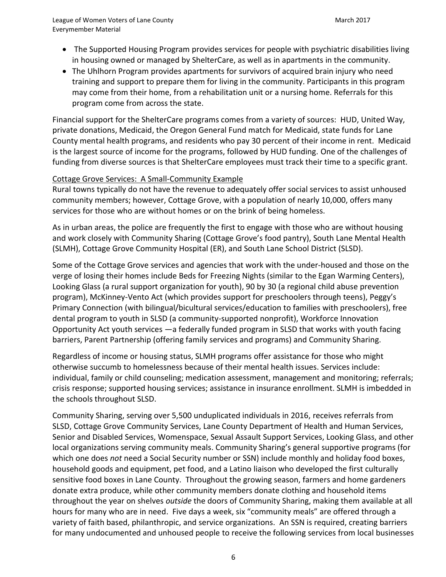- The [Supported Housing Program](http://www.sheltercare.org/supported-housing/) provides services for people with psychiatric disabilities living in housing owned or managed by ShelterCare, as well as in apartments in the community.
- The [Uhlhorn Program](http://www.sheltercare.org/uhlhorn-program/) provides apartments for survivors of acquired brain injury who need training and support to prepare them for living in the community. Participants in this program may come from their home, from a rehabilitation unit or a nursing home. Referrals for this program come from across the state.

Financial support for the ShelterCare programs comes from a variety of sources: HUD, United Way, private donations, Medicaid, the Oregon General Fund match for Medicaid, state funds for Lane County mental health programs, and residents who pay 30 percent of their income in rent. Medicaid is the largest source of income for the programs, followed by HUD funding. One of the challenges of funding from diverse sources is that ShelterCare employees must track their time to a specific grant.

### Cottage Grove Services: A Small-Community Example

Rural towns typically do not have the revenue to adequately offer social services to assist unhoused community members; however, Cottage Grove, with a population of nearly 10,000, offers many services for those who are without homes or on the brink of being homeless.

As in urban areas, the police are frequently the first to engage with those who are without housing and work closely with Community Sharing (Cottage Grove's food pantry), South Lane Mental Health (SLMH), Cottage Grove Community Hospital (ER), and South Lane School District (SLSD).

Some of the Cottage Grove services and agencies that work with the under-housed and those on the verge of losing their homes include Beds for Freezing Nights (similar to the Egan Warming Centers), Looking Glass (a rural support organization for youth), 90 by 30 (a regional child abuse prevention program), McKinney-Vento Act (which provides support for preschoolers through teens), Peggy's Primary Connection (with bilingual/bicultural services/education to families with preschoolers), free dental program to youth in SLSD (a community-supported nonprofit), Workforce Innovation Opportunity Act youth services —a federally funded program in SLSD that works with youth facing barriers, Parent Partnership (offering family services and programs) and Community Sharing.

Regardless of income or housing status, SLMH programs offer assistance for those who might otherwise succumb to homelessness because of their mental health issues. Services include: individual, family or child counseling; medication assessment, management and monitoring; referrals; crisis response; supported housing services; assistance in insurance enrollment. SLMH is imbedded in the schools throughout SLSD.

Community Sharing, serving over 5,500 unduplicated individuals in 2016, receives referrals from SLSD, Cottage Grove Community Services, Lane County Department of Health and Human Services, Senior and Disabled Services, Womenspace, Sexual Assault Support Services, Looking Glass, and other local organizations serving community meals. Community Sharing's general supportive programs (for which one does *not* need a Social Security number or SSN) include monthly and holiday food boxes, household goods and equipment, pet food, and a Latino liaison who developed the first culturally sensitive food boxes in Lane County. Throughout the growing season, farmers and home gardeners donate extra produce, while other community members donate clothing and household items throughout the year on shelves *outside* the doors of Community Sharing, making them available at all hours for many who are in need. Five days a week, six "community meals" are offered through a variety of faith based, philanthropic, and service organizations. An SSN is required, creating barriers for many undocumented and unhoused people to receive the following services from local businesses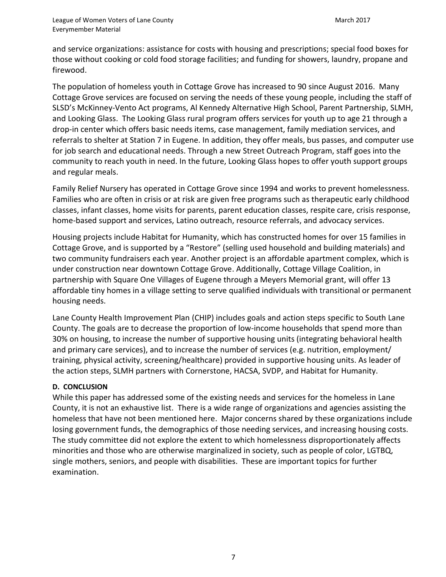and service organizations: assistance for costs with housing and prescriptions; special food boxes for those without cooking or cold food storage facilities; and funding for showers, laundry, propane and firewood.

The population of homeless youth in Cottage Grove has increased to 90 since August 2016. Many Cottage Grove services are focused on serving the needs of these young people, including the staff of SLSD's McKinney-Vento Act programs, Al Kennedy Alternative High School, Parent Partnership, SLMH, and Looking Glass. The Looking Glass rural program offers services for youth up to age 21 through a drop-in center which offers basic needs items, case management, family mediation services, and referrals to shelter at Station 7 in Eugene. In addition, they offer meals, bus passes, and computer use for job search and educational needs. Through a new Street Outreach Program, staff goes into the community to reach youth in need. In the future, Looking Glass hopes to offer youth support groups and regular meals.

Family Relief Nursery has operated in Cottage Grove since 1994 and works to prevent homelessness. Families who are often in crisis or at risk are given free programs such as therapeutic early childhood classes, infant classes, home visits for parents, parent education classes, respite care, crisis response, home-based support and services, Latino outreach, resource referrals, and advocacy services.

Housing projects include Habitat for Humanity, which has constructed homes for over 15 families in Cottage Grove, and is supported by a "Restore" (selling used household and building materials) and two community fundraisers each year. Another project is an affordable apartment complex, which is under construction near downtown Cottage Grove. Additionally, Cottage Village Coalition, in partnership with Square One Villages of Eugene through a Meyers Memorial grant, will offer 13 affordable tiny homes in a village setting to serve qualified individuals with transitional or permanent housing needs.

Lane County Health Improvement Plan (CHIP) includes goals and action steps specific to South Lane County. The goals are to decrease the proportion of low-income households that spend more than 30% on housing, to increase the number of supportive housing units (integrating behavioral health and primary care services), and to increase the number of services (e.g. nutrition, employment/ training, physical activity, screening/healthcare) provided in supportive housing units. As leader of the action steps, SLMH partners with Cornerstone, HACSA, SVDP, and Habitat for Humanity.

### **D. CONCLUSION**

While this paper has addressed some of the existing needs and services for the homeless in Lane County, it is not an exhaustive list. There is a wide range of organizations and agencies assisting the homeless that have not been mentioned here. Major concerns shared by these organizations include losing government funds, the demographics of those needing services, and increasing housing costs. The study committee did not explore the extent to which homelessness disproportionately affects minorities and those who are otherwise marginalized in society, such as people of color, LGTBQ, single mothers, seniors, and people with disabilities. These are important topics for further examination.